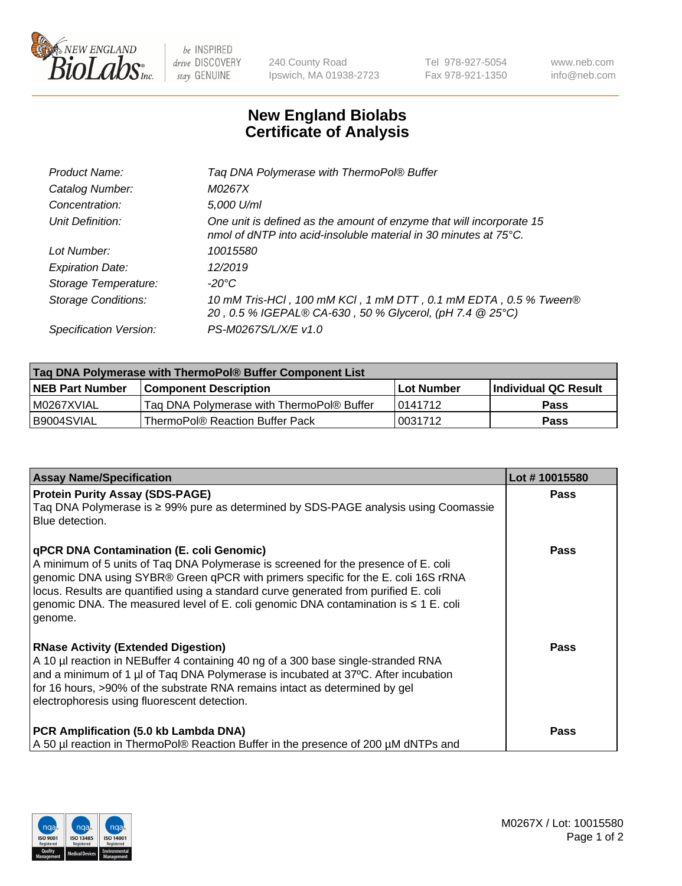

 $be$  INSPIRED drive DISCOVERY stay GENUINE

240 County Road Ipswich, MA 01938-2723 Tel 978-927-5054 Fax 978-921-1350 www.neb.com info@neb.com

## **New England Biolabs Certificate of Analysis**

| Tag DNA Polymerase with ThermoPol® Buffer                                                                                                |
|------------------------------------------------------------------------------------------------------------------------------------------|
| M0267X                                                                                                                                   |
| 5,000 U/ml                                                                                                                               |
| One unit is defined as the amount of enzyme that will incorporate 15<br>nmol of dNTP into acid-insoluble material in 30 minutes at 75°C. |
| 10015580                                                                                                                                 |
| 12/2019                                                                                                                                  |
| $-20^{\circ}$ C                                                                                                                          |
| 10 mM Tris-HCl, 100 mM KCl, 1 mM DTT, 0.1 mM EDTA, 0.5 % Tween®<br>20, 0.5 % IGEPAL® CA-630, 50 % Glycerol, (pH 7.4 @ 25°C)              |
| PS-M0267S/L/X/E v1.0                                                                                                                     |
|                                                                                                                                          |

| Taq DNA Polymerase with ThermoPol® Buffer Component List |                                           |            |                      |  |  |
|----------------------------------------------------------|-------------------------------------------|------------|----------------------|--|--|
| <b>NEB Part Number</b>                                   | <b>Component Description</b>              | Lot Number | Individual QC Result |  |  |
| IM0267XVIAL                                              | Tag DNA Polymerase with ThermoPol® Buffer | 10141712   | Pass                 |  |  |
| I B9004SVIAL                                             | ThermoPol® Reaction Buffer Pack           | '0031712   | Pass                 |  |  |

| <b>Assay Name/Specification</b>                                                                                                                                                                                                                                                                                                                                                                               | Lot #10015580 |
|---------------------------------------------------------------------------------------------------------------------------------------------------------------------------------------------------------------------------------------------------------------------------------------------------------------------------------------------------------------------------------------------------------------|---------------|
| <b>Protein Purity Assay (SDS-PAGE)</b><br>Taq DNA Polymerase is ≥ 99% pure as determined by SDS-PAGE analysis using Coomassie<br>Blue detection.                                                                                                                                                                                                                                                              | Pass          |
| qPCR DNA Contamination (E. coli Genomic)<br>A minimum of 5 units of Taq DNA Polymerase is screened for the presence of E. coli<br>genomic DNA using SYBR® Green qPCR with primers specific for the E. coli 16S rRNA<br>locus. Results are quantified using a standard curve generated from purified E. coli<br>genomic DNA. The measured level of E. coli genomic DNA contamination is ≤ 1 E. coli<br>genome. | <b>Pass</b>   |
| <b>RNase Activity (Extended Digestion)</b><br>A 10 µl reaction in NEBuffer 4 containing 40 ng of a 300 base single-stranded RNA<br>and a minimum of 1 µl of Taq DNA Polymerase is incubated at 37°C. After incubation<br>for 16 hours, >90% of the substrate RNA remains intact as determined by gel<br>electrophoresis using fluorescent detection.                                                          | Pass          |
| PCR Amplification (5.0 kb Lambda DNA)<br>A 50 µl reaction in ThermoPol® Reaction Buffer in the presence of 200 µM dNTPs and                                                                                                                                                                                                                                                                                   | Pass          |